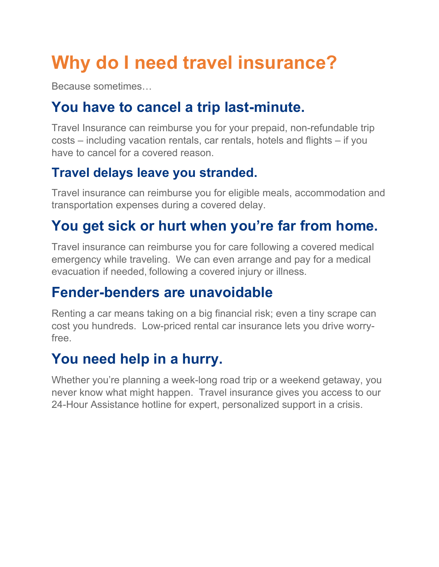# **Why do I need travel insurance?**

Because sometimes…

### **You have to cancel a trip last-minute.**

Travel Insurance can reimburse you for your prepaid, non-refundable trip costs – including vacation rentals, car rentals, hotels and flights – if you have to cancel for a covered reason.

#### **Travel delays leave you stranded.**

Travel insurance can reimburse you for eligible meals, accommodation and transportation expenses during a covered delay.

### **You get sick or hurt when you're far from home.**

Travel insurance can reimburse you for care following a covered medical emergency while traveling. We can even arrange and pay for a medical evacuation if needed, following a covered injury or illness.

#### **Fender-benders are unavoidable**

Renting a car means taking on a big financial risk; even a tiny scrape can cost you hundreds. Low-priced rental car insurance lets you drive worryfree.

### **You need help in a hurry.**

Whether you're planning a week-long road trip or a weekend getaway, you never know what might happen. Travel insurance gives you access to our 24-Hour Assistance hotline for expert, personalized support in a crisis.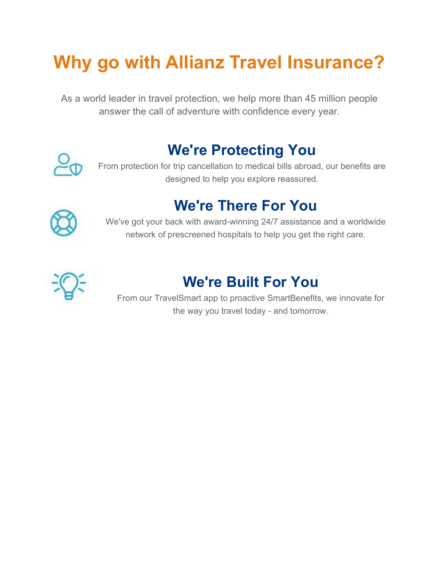## **Why go with Allianz Travel Insurance?**

As a world leader in travel protection, we help more than 45 million people answer the call of adventure with confidence every year.



### **We're Protecting You**

From protection for trip cancellation to medical bills abroad, our benefits are designed to help you explore reassured.

### **We're There For You**



We've got your back with award-winning 24/7 assistance and a worldwide network of prescreened hospitals to help you get the right care.



### **We're Built For You**

From our TravelSmart app to proactive SmartBenefits, we innovate for the way you travel today - and tomorrow.